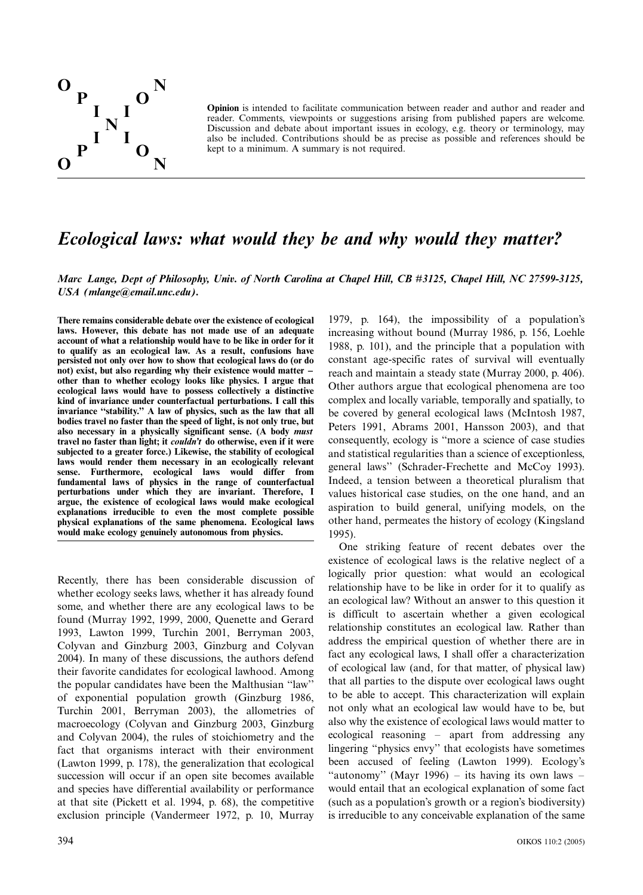

Opinion is intended to facilitate communication between reader and author and reader and reader. Comments, viewpoints or suggestions arising from published papers are welcome. Discussion and debate about important issues in ecology, e.g. theory or terminology, may also be included. Contributions should be as precise as possible and references should be kept to a minimum. A summary is not required.

# Ecological laws: what would they be and why would they matter?

Marc Lange, Dept of Philosophy, Univ. of North Carolina at Chapel Hill, CB #3125, Chapel Hill, NC 27599-3125, USA (mlange@email.unc.edu).

There remains considerable debate over the existence of ecological laws. However, this debate has not made use of an adequate account of what a relationship would have to be like in order for it to qualify as an ecological law. As a result, confusions have persisted not only over how to show that ecological laws do (or do not) exist, but also regarding why their existence would matter  $$ other than to whether ecology looks like physics. I argue that ecological laws would have to possess collectively a distinctive kind of invariance under counterfactual perturbations. I call this invariance "stability." A law of physics, such as the law that all bodies travel no faster than the speed of light, is not only true, but also necessary in a physically significant sense. (A body must travel no faster than light; it *couldn't* do otherwise, even if it were subjected to a greater force.) Likewise, the stability of ecological laws would render them necessary in an ecologically relevant sense. Furthermore, ecological laws would differ from fundamental laws of physics in the range of counterfactual perturbations under which they are invariant. Therefore, I argue, the existence of ecological laws would make ecological explanations irreducible to even the most complete possible physical explanations of the same phenomena. Ecological laws would make ecology genuinely autonomous from physics.

Recently, there has been considerable discussion of whether ecology seeks laws, whether it has already found some, and whether there are any ecological laws to be found (Murray 1992, 1999, 2000, Quenette and Gerard 1993, Lawton 1999, Turchin 2001, Berryman 2003, Colyvan and Ginzburg 2003, Ginzburg and Colyvan 2004). In many of these discussions, the authors defend their favorite candidates for ecological lawhood. Among the popular candidates have been the Malthusian ''law'' of exponential population growth (Ginzburg 1986, Turchin 2001, Berryman 2003), the allometries of macroecology (Colyvan and Ginzburg 2003, Ginzburg and Colyvan 2004), the rules of stoichiometry and the fact that organisms interact with their environment (Lawton 1999, p. 178), the generalization that ecological succession will occur if an open site becomes available and species have differential availability or performance at that site (Pickett et al. 1994, p. 68), the competitive exclusion principle (Vandermeer 1972, p. 10, Murray 1979, p. 164), the impossibility of a population's increasing without bound (Murray 1986, p. 156, Loehle 1988, p. 101), and the principle that a population with constant age-specific rates of survival will eventually reach and maintain a steady state (Murray 2000, p. 406). Other authors argue that ecological phenomena are too complex and locally variable, temporally and spatially, to be covered by general ecological laws (McIntosh 1987, Peters 1991, Abrams 2001, Hansson 2003), and that consequently, ecology is ''more a science of case studies and statistical regularities than a science of exceptionless, general laws'' (Schrader-Frechette and McCoy 1993). Indeed, a tension between a theoretical pluralism that values historical case studies, on the one hand, and an aspiration to build general, unifying models, on the other hand, permeates the history of ecology (Kingsland 1995).

One striking feature of recent debates over the existence of ecological laws is the relative neglect of a logically prior question: what would an ecological relationship have to be like in order for it to qualify as an ecological law? Without an answer to this question it is difficult to ascertain whether a given ecological relationship constitutes an ecological law. Rather than address the empirical question of whether there are in fact any ecological laws, I shall offer a characterization of ecological law (and, for that matter, of physical law) that all parties to the dispute over ecological laws ought to be able to accept. This characterization will explain not only what an ecological law would have to be, but also why the existence of ecological laws would matter to ecological reasoning  $-$  apart from addressing any lingering ''physics envy'' that ecologists have sometimes been accused of feeling (Lawton 1999). Ecology's "autonomy" (Mayr 1996) – its having its own laws would entail that an ecological explanation of some fact (such as a population's growth or a region's biodiversity) is irreducible to any conceivable explanation of the same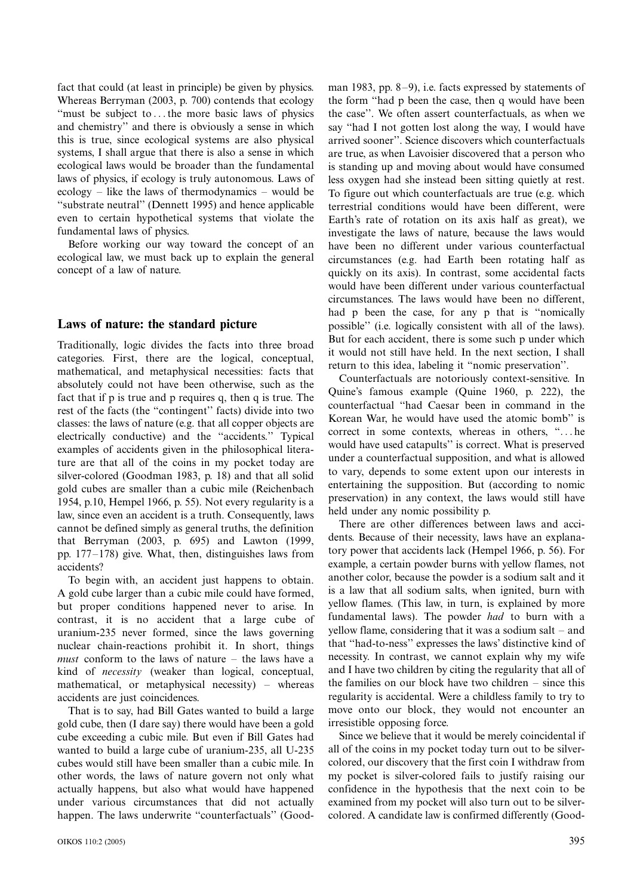fact that could (at least in principle) be given by physics. Whereas Berryman (2003, p. 700) contends that ecology "must be subject to ... the more basic laws of physics and chemistry'' and there is obviously a sense in which this is true, since ecological systems are also physical systems, I shall argue that there is also a sense in which ecological laws would be broader than the fundamental laws of physics, if ecology is truly autonomous. Laws of ecology – like the laws of thermodynamics – would be ''substrate neutral'' (Dennett 1995) and hence applicable even to certain hypothetical systems that violate the fundamental laws of physics.

Before working our way toward the concept of an ecological law, we must back up to explain the general concept of a law of nature.

### Laws of nature: the standard picture

Traditionally, logic divides the facts into three broad categories. First, there are the logical, conceptual, mathematical, and metaphysical necessities: facts that absolutely could not have been otherwise, such as the fact that if p is true and p requires q, then q is true. The rest of the facts (the ''contingent'' facts) divide into two classes: the laws of nature (e.g. that all copper objects are electrically conductive) and the ''accidents.'' Typical examples of accidents given in the philosophical literature are that all of the coins in my pocket today are silver-colored (Goodman 1983, p. 18) and that all solid gold cubes are smaller than a cubic mile (Reichenbach 1954, p.10, Hempel 1966, p. 55). Not every regularity is a law, since even an accident is a truth. Consequently, laws cannot be defined simply as general truths, the definition that Berryman (2003, p. 695) and Lawton (1999, pp.  $177-178$ ) give. What, then, distinguishes laws from accidents?

To begin with, an accident just happens to obtain. A gold cube larger than a cubic mile could have formed, but proper conditions happened never to arise. In contrast, it is no accident that a large cube of uranium-235 never formed, since the laws governing nuclear chain-reactions prohibit it. In short, things  $must$  conform to the laws of nature  $-$  the laws have a kind of necessity (weaker than logical, conceptual, mathematical, or metaphysical necessity) – whereas accidents are just coincidences.

That is to say, had Bill Gates wanted to build a large gold cube, then (I dare say) there would have been a gold cube exceeding a cubic mile. But even if Bill Gates had wanted to build a large cube of uranium-235, all U-235 cubes would still have been smaller than a cubic mile. In other words, the laws of nature govern not only what actually happens, but also what would have happened under various circumstances that did not actually happen. The laws underwrite "counterfactuals" (Goodman 1983, pp.  $8-9$ ), i.e. facts expressed by statements of the form ''had p been the case, then q would have been the case''. We often assert counterfactuals, as when we say ''had I not gotten lost along the way, I would have arrived sooner''. Science discovers which counterfactuals are true, as when Lavoisier discovered that a person who is standing up and moving about would have consumed less oxygen had she instead been sitting quietly at rest. To figure out which counterfactuals are true (e.g. which terrestrial conditions would have been different, were Earth's rate of rotation on its axis half as great), we investigate the laws of nature, because the laws would have been no different under various counterfactual circumstances (e.g. had Earth been rotating half as quickly on its axis). In contrast, some accidental facts would have been different under various counterfactual circumstances. The laws would have been no different, had p been the case, for any p that is ''nomically possible'' (i.e. logically consistent with all of the laws). But for each accident, there is some such p under which it would not still have held. In the next section, I shall return to this idea, labeling it ''nomic preservation''.

Counterfactuals are notoriously context-sensitive. In Quine's famous example (Quine 1960, p. 222), the counterfactual ''had Caesar been in command in the Korean War, he would have used the atomic bomb'' is correct in some contexts, whereas in others, ''... he would have used catapults'' is correct. What is preserved under a counterfactual supposition, and what is allowed to vary, depends to some extent upon our interests in entertaining the supposition. But (according to nomic preservation) in any context, the laws would still have held under any nomic possibility p.

There are other differences between laws and accidents. Because of their necessity, laws have an explanatory power that accidents lack (Hempel 1966, p. 56). For example, a certain powder burns with yellow flames, not another color, because the powder is a sodium salt and it is a law that all sodium salts, when ignited, burn with yellow flames. (This law, in turn, is explained by more fundamental laws). The powder *had* to burn with a yellow flame, considering that it was a sodium salt  $-$  and that ''had-to-ness'' expresses the laws' distinctive kind of necessity. In contrast, we cannot explain why my wife and I have two children by citing the regularity that all of the families on our block have two children  $-$  since this regularity is accidental. Were a childless family to try to move onto our block, they would not encounter an irresistible opposing force.

Since we believe that it would be merely coincidental if all of the coins in my pocket today turn out to be silvercolored, our discovery that the first coin I withdraw from my pocket is silver-colored fails to justify raising our confidence in the hypothesis that the next coin to be examined from my pocket will also turn out to be silvercolored. A candidate law is confirmed differently (Good-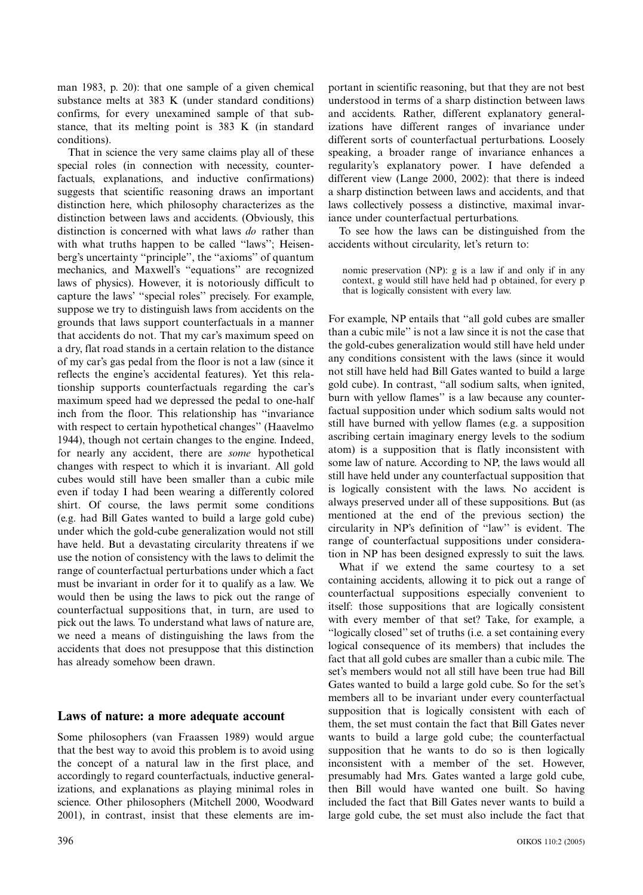man 1983, p. 20): that one sample of a given chemical substance melts at 383 K (under standard conditions) confirms, for every unexamined sample of that substance, that its melting point is 383 K (in standard conditions).

That in science the very same claims play all of these special roles (in connection with necessity, counterfactuals, explanations, and inductive confirmations) suggests that scientific reasoning draws an important distinction here, which philosophy characterizes as the distinction between laws and accidents. (Obviously, this distinction is concerned with what laws do rather than with what truths happen to be called "laws"; Heisenberg's uncertainty ''principle'', the ''axioms'' of quantum mechanics, and Maxwell's ''equations'' are recognized laws of physics). However, it is notoriously difficult to capture the laws' ''special roles'' precisely. For example, suppose we try to distinguish laws from accidents on the grounds that laws support counterfactuals in a manner that accidents do not. That my car's maximum speed on a dry, flat road stands in a certain relation to the distance of my car's gas pedal from the floor is not a law (since it reflects the engine's accidental features). Yet this relationship supports counterfactuals regarding the car's maximum speed had we depressed the pedal to one-half inch from the floor. This relationship has ''invariance with respect to certain hypothetical changes'' (Haavelmo 1944), though not certain changes to the engine. Indeed, for nearly any accident, there are some hypothetical changes with respect to which it is invariant. All gold cubes would still have been smaller than a cubic mile even if today I had been wearing a differently colored shirt. Of course, the laws permit some conditions (e.g. had Bill Gates wanted to build a large gold cube) under which the gold-cube generalization would not still have held. But a devastating circularity threatens if we use the notion of consistency with the laws to delimit the range of counterfactual perturbations under which a fact must be invariant in order for it to qualify as a law. We would then be using the laws to pick out the range of counterfactual suppositions that, in turn, are used to pick out the laws. To understand what laws of nature are, we need a means of distinguishing the laws from the accidents that does not presuppose that this distinction has already somehow been drawn.

### Laws of nature: a more adequate account

Some philosophers (van Fraassen 1989) would argue that the best way to avoid this problem is to avoid using the concept of a natural law in the first place, and accordingly to regard counterfactuals, inductive generalizations, and explanations as playing minimal roles in science. Other philosophers (Mitchell 2000, Woodward 2001), in contrast, insist that these elements are important in scientific reasoning, but that they are not best understood in terms of a sharp distinction between laws and accidents. Rather, different explanatory generalizations have different ranges of invariance under different sorts of counterfactual perturbations. Loosely speaking, a broader range of invariance enhances a regularity's explanatory power. I have defended a different view (Lange 2000, 2002): that there is indeed a sharp distinction between laws and accidents, and that laws collectively possess a distinctive, maximal invariance under counterfactual perturbations.

To see how the laws can be distinguished from the accidents without circularity, let's return to:

nomic preservation (NP): g is a law if and only if in any context, g would still have held had p obtained, for every p that is logically consistent with every law.

For example, NP entails that ''all gold cubes are smaller than a cubic mile'' is not a law since it is not the case that the gold-cubes generalization would still have held under any conditions consistent with the laws (since it would not still have held had Bill Gates wanted to build a large gold cube). In contrast, ''all sodium salts, when ignited, burn with yellow flames'' is a law because any counterfactual supposition under which sodium salts would not still have burned with yellow flames (e.g. a supposition ascribing certain imaginary energy levels to the sodium atom) is a supposition that is flatly inconsistent with some law of nature. According to NP, the laws would all still have held under any counterfactual supposition that is logically consistent with the laws. No accident is always preserved under all of these suppositions. But (as mentioned at the end of the previous section) the circularity in NP's definition of ''law'' is evident. The range of counterfactual suppositions under consideration in NP has been designed expressly to suit the laws.

What if we extend the same courtesy to a set containing accidents, allowing it to pick out a range of counterfactual suppositions especially convenient to itself: those suppositions that are logically consistent with every member of that set? Take, for example, a ''logically closed'' set of truths (i.e. a set containing every logical consequence of its members) that includes the fact that all gold cubes are smaller than a cubic mile. The set's members would not all still have been true had Bill Gates wanted to build a large gold cube. So for the set's members all to be invariant under every counterfactual supposition that is logically consistent with each of them, the set must contain the fact that Bill Gates never wants to build a large gold cube; the counterfactual supposition that he wants to do so is then logically inconsistent with a member of the set. However, presumably had Mrs. Gates wanted a large gold cube, then Bill would have wanted one built. So having included the fact that Bill Gates never wants to build a large gold cube, the set must also include the fact that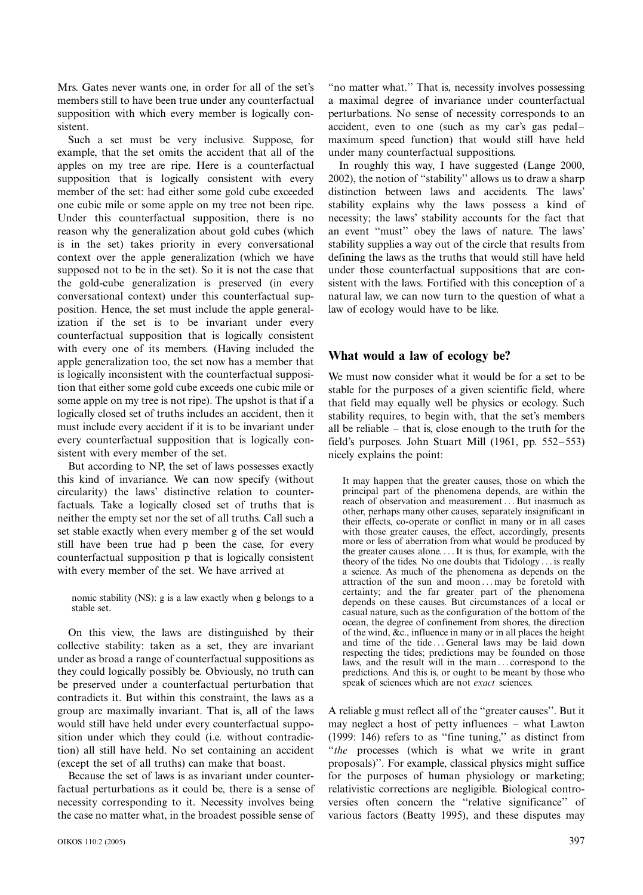Mrs. Gates never wants one, in order for all of the set's members still to have been true under any counterfactual supposition with which every member is logically consistent.

Such a set must be very inclusive. Suppose, for example, that the set omits the accident that all of the apples on my tree are ripe. Here is a counterfactual supposition that is logically consistent with every member of the set: had either some gold cube exceeded one cubic mile or some apple on my tree not been ripe. Under this counterfactual supposition, there is no reason why the generalization about gold cubes (which is in the set) takes priority in every conversational context over the apple generalization (which we have supposed not to be in the set). So it is not the case that the gold-cube generalization is preserved (in every conversational context) under this counterfactual supposition. Hence, the set must include the apple generalization if the set is to be invariant under every counterfactual supposition that is logically consistent with every one of its members. (Having included the apple generalization too, the set now has a member that is logically inconsistent with the counterfactual supposition that either some gold cube exceeds one cubic mile or some apple on my tree is not ripe). The upshot is that if a logically closed set of truths includes an accident, then it must include every accident if it is to be invariant under every counterfactual supposition that is logically consistent with every member of the set.

But according to NP, the set of laws possesses exactly this kind of invariance. We can now specify (without circularity) the laws' distinctive relation to counterfactuals. Take a logically closed set of truths that is neither the empty set nor the set of all truths. Call such a set stable exactly when every member g of the set would still have been true had p been the case, for every counterfactual supposition p that is logically consistent with every member of the set. We have arrived at

nomic stability (NS): g is a law exactly when g belongs to a stable set.

On this view, the laws are distinguished by their collective stability: taken as a set, they are invariant under as broad a range of counterfactual suppositions as they could logically possibly be. Obviously, no truth can be preserved under a counterfactual perturbation that contradicts it. But within this constraint, the laws as a group are maximally invariant. That is, all of the laws would still have held under every counterfactual supposition under which they could (i.e. without contradiction) all still have held. No set containing an accident (except the set of all truths) can make that boast.

Because the set of laws is as invariant under counterfactual perturbations as it could be, there is a sense of necessity corresponding to it. Necessity involves being the case no matter what, in the broadest possible sense of ''no matter what.'' That is, necessity involves possessing a maximal degree of invariance under counterfactual perturbations. No sense of necessity corresponds to an accident, even to one (such as my car's gas pedalmaximum speed function) that would still have held under many counterfactual suppositions.

In roughly this way, I have suggested (Lange 2000, 2002), the notion of ''stability'' allows us to draw a sharp distinction between laws and accidents. The laws' stability explains why the laws possess a kind of necessity; the laws' stability accounts for the fact that an event ''must'' obey the laws of nature. The laws' stability supplies a way out of the circle that results from defining the laws as the truths that would still have held under those counterfactual suppositions that are consistent with the laws. Fortified with this conception of a natural law, we can now turn to the question of what a law of ecology would have to be like.

### What would a law of ecology be?

We must now consider what it would be for a set to be stable for the purposes of a given scientific field, where that field may equally well be physics or ecology. Such stability requires, to begin with, that the set's members all be reliable  $-$  that is, close enough to the truth for the field's purposes. John Stuart Mill  $(1961, pp. 552-553)$ nicely explains the point:

It may happen that the greater causes, those on which the principal part of the phenomena depends, are within the reach of observation and measurement... But inasmuch as other, perhaps many other causes, separately insignificant in their effects, co-operate or conflict in many or in all cases with those greater causes, the effect, accordingly, presents more or less of aberration from what would be produced by the greater causes alone. ...It is thus, for example, with the theory of the tides. No one doubts that Tidology ... is really a science. As much of the phenomena as depends on the attraction of the sun and moon ... may be foretold with certainty; and the far greater part of the phenomena depends on these causes. But circumstances of a local or casual nature, such as the configuration of the bottom of the ocean, the degree of confinement from shores, the direction of the wind,  $\&c$ , influence in many or in all places the height and time of the tide ... General laws may be laid down respecting the tides; predictions may be founded on those laws, and the result will in the main ... correspond to the predictions. And this is, or ought to be meant by those who speak of sciences which are not *exact* sciences.

A reliable g must reflect all of the ''greater causes''. But it may neglect a host of petty influences  $-$  what Lawton (1999: 146) refers to as ''fine tuning,'' as distinct from "the processes (which is what we write in grant proposals)''. For example, classical physics might suffice for the purposes of human physiology or marketing; relativistic corrections are negligible. Biological controversies often concern the ''relative significance'' of various factors (Beatty 1995), and these disputes may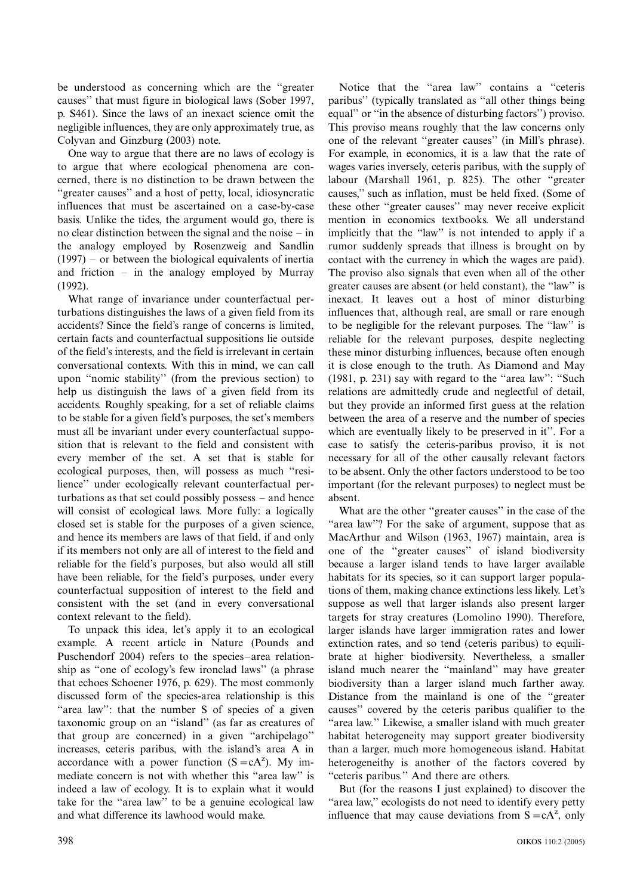be understood as concerning which are the ''greater causes'' that must figure in biological laws (Sober 1997, p. S461). Since the laws of an inexact science omit the negligible influences, they are only approximately true, as Colyvan and Ginzburg (2003) note.

One way to argue that there are no laws of ecology is to argue that where ecological phenomena are concerned, there is no distinction to be drawn between the "greater causes" and a host of petty, local, idiosyncratic influences that must be ascertained on a case-by-case basis. Unlike the tides, the argument would go, there is no clear distinction between the signal and the noise  $-$  in the analogy employed by Rosenzweig and Sandlin  $(1997)$  – or between the biological equivalents of inertia and friction  $-$  in the analogy employed by Murray (1992).

What range of invariance under counterfactual perturbations distinguishes the laws of a given field from its accidents? Since the field's range of concerns is limited, certain facts and counterfactual suppositions lie outside of the field's interests, and the field is irrelevant in certain conversational contexts. With this in mind, we can call upon ''nomic stability'' (from the previous section) to help us distinguish the laws of a given field from its accidents. Roughly speaking, for a set of reliable claims to be stable for a given field's purposes, the set's members must all be invariant under every counterfactual supposition that is relevant to the field and consistent with every member of the set. A set that is stable for ecological purposes, then, will possess as much ''resilience'' under ecologically relevant counterfactual perturbations as that set could possibly possess  $-$  and hence will consist of ecological laws. More fully: a logically closed set is stable for the purposes of a given science, and hence its members are laws of that field, if and only if its members not only are all of interest to the field and reliable for the field's purposes, but also would all still have been reliable, for the field's purposes, under every counterfactual supposition of interest to the field and consistent with the set (and in every conversational context relevant to the field).

To unpack this idea, let's apply it to an ecological example. A recent article in Nature (Pounds and Puschendorf 2004) refers to the species-area relationship as ''one of ecology's few ironclad laws'' (a phrase that echoes Schoener 1976, p. 629). The most commonly discussed form of the species-area relationship is this "area law": that the number S of species of a given taxonomic group on an ''island'' (as far as creatures of that group are concerned) in a given ''archipelago'' increases, ceteris paribus, with the island's area A in accordance with a power function  $(S = cA<sup>z</sup>)$ . My immediate concern is not with whether this ''area law'' is indeed a law of ecology. It is to explain what it would take for the ''area law'' to be a genuine ecological law and what difference its lawhood would make.

Notice that the ''area law'' contains a ''ceteris paribus'' (typically translated as ''all other things being equal'' or ''in the absence of disturbing factors'') proviso. This proviso means roughly that the law concerns only one of the relevant ''greater causes'' (in Mill's phrase). For example, in economics, it is a law that the rate of wages varies inversely, ceteris paribus, with the supply of labour (Marshall 1961, p. 825). The other ''greater causes,'' such as inflation, must be held fixed. (Some of these other ''greater causes'' may never receive explicit mention in economics textbooks. We all understand implicitly that the ''law'' is not intended to apply if a rumor suddenly spreads that illness is brought on by contact with the currency in which the wages are paid). The proviso also signals that even when all of the other greater causes are absent (or held constant), the ''law'' is inexact. It leaves out a host of minor disturbing influences that, although real, are small or rare enough to be negligible for the relevant purposes. The ''law'' is reliable for the relevant purposes, despite neglecting these minor disturbing influences, because often enough it is close enough to the truth. As Diamond and May (1981, p. 231) say with regard to the ''area law'': ''Such relations are admittedly crude and neglectful of detail, but they provide an informed first guess at the relation between the area of a reserve and the number of species which are eventually likely to be preserved in it''. For a case to satisfy the ceteris-paribus proviso, it is not necessary for all of the other causally relevant factors to be absent. Only the other factors understood to be too important (for the relevant purposes) to neglect must be absent.

What are the other ''greater causes'' in the case of the "area law"? For the sake of argument, suppose that as MacArthur and Wilson (1963, 1967) maintain, area is one of the ''greater causes'' of island biodiversity because a larger island tends to have larger available habitats for its species, so it can support larger populations of them, making chance extinctions less likely. Let's suppose as well that larger islands also present larger targets for stray creatures (Lomolino 1990). Therefore, larger islands have larger immigration rates and lower extinction rates, and so tend (ceteris paribus) to equilibrate at higher biodiversity. Nevertheless, a smaller island much nearer the ''mainland'' may have greater biodiversity than a larger island much farther away. Distance from the mainland is one of the ''greater causes'' covered by the ceteris paribus qualifier to the "area law." Likewise, a smaller island with much greater habitat heterogeneity may support greater biodiversity than a larger, much more homogeneous island. Habitat heterogeneithy is another of the factors covered by "ceteris paribus." And there are others.

But (for the reasons I just explained) to discover the "area law," ecologists do not need to identify every petty influence that may cause deviations from  $S = cA^z$ , only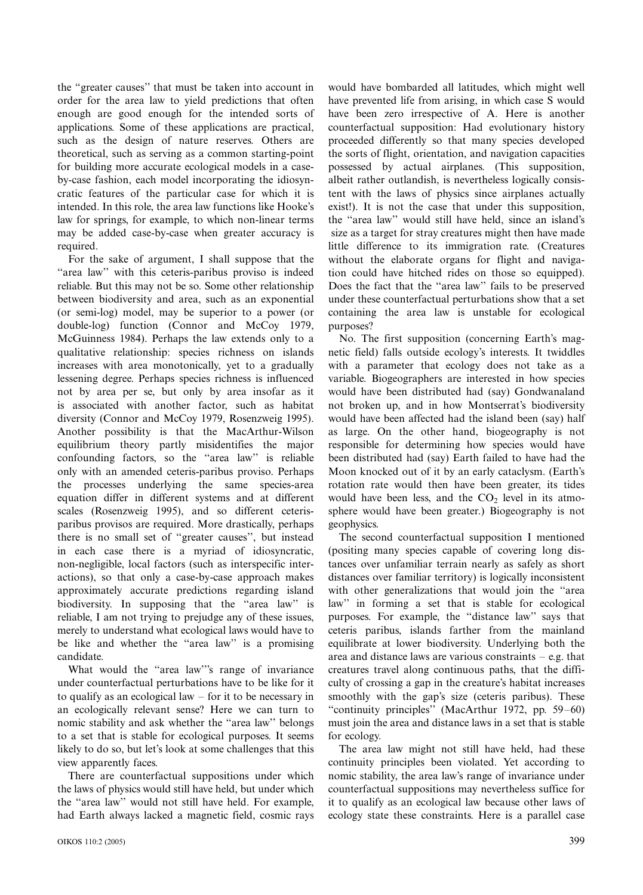the ''greater causes'' that must be taken into account in order for the area law to yield predictions that often enough are good enough for the intended sorts of applications. Some of these applications are practical, such as the design of nature reserves. Others are theoretical, such as serving as a common starting-point for building more accurate ecological models in a caseby-case fashion, each model incorporating the idiosyncratic features of the particular case for which it is intended. In this role, the area law functions like Hooke's law for springs, for example, to which non-linear terms may be added case-by-case when greater accuracy is required.

For the sake of argument, I shall suppose that the "area law" with this ceteris-paribus proviso is indeed reliable. But this may not be so. Some other relationship between biodiversity and area, such as an exponential (or semi-log) model, may be superior to a power (or double-log) function (Connor and McCoy 1979, McGuinness 1984). Perhaps the law extends only to a qualitative relationship: species richness on islands increases with area monotonically, yet to a gradually lessening degree. Perhaps species richness is influenced not by area per se, but only by area insofar as it is associated with another factor, such as habitat diversity (Connor and McCoy 1979, Rosenzweig 1995). Another possibility is that the MacArthur-Wilson equilibrium theory partly misidentifies the major confounding factors, so the ''area law'' is reliable only with an amended ceteris-paribus proviso. Perhaps the processes underlying the same species-area equation differ in different systems and at different scales (Rosenzweig 1995), and so different ceterisparibus provisos are required. More drastically, perhaps there is no small set of ''greater causes'', but instead in each case there is a myriad of idiosyncratic, non-negligible, local factors (such as interspecific interactions), so that only a case-by-case approach makes approximately accurate predictions regarding island biodiversity. In supposing that the ''area law'' is reliable, I am not trying to prejudge any of these issues, merely to understand what ecological laws would have to be like and whether the ''area law'' is a promising candidate.

What would the ''area law'''s range of invariance under counterfactual perturbations have to be like for it to qualify as an ecological law  $-$  for it to be necessary in an ecologically relevant sense? Here we can turn to nomic stability and ask whether the ''area law'' belongs to a set that is stable for ecological purposes. It seems likely to do so, but let's look at some challenges that this view apparently faces.

There are counterfactual suppositions under which the laws of physics would still have held, but under which the ''area law'' would not still have held. For example, had Earth always lacked a magnetic field, cosmic rays would have bombarded all latitudes, which might well have prevented life from arising, in which case S would have been zero irrespective of A. Here is another counterfactual supposition: Had evolutionary history proceeded differently so that many species developed the sorts of flight, orientation, and navigation capacities possessed by actual airplanes. (This supposition, albeit rather outlandish, is nevertheless logically consistent with the laws of physics since airplanes actually exist!). It is not the case that under this supposition, the ''area law'' would still have held, since an island's size as a target for stray creatures might then have made little difference to its immigration rate. (Creatures without the elaborate organs for flight and navigation could have hitched rides on those so equipped). Does the fact that the ''area law'' fails to be preserved under these counterfactual perturbations show that a set containing the area law is unstable for ecological purposes?

No. The first supposition (concerning Earth's magnetic field) falls outside ecology's interests. It twiddles with a parameter that ecology does not take as a variable. Biogeographers are interested in how species would have been distributed had (say) Gondwanaland not broken up, and in how Montserrat's biodiversity would have been affected had the island been (say) half as large. On the other hand, biogeography is not responsible for determining how species would have been distributed had (say) Earth failed to have had the Moon knocked out of it by an early cataclysm. (Earth's rotation rate would then have been greater, its tides would have been less, and the  $CO<sub>2</sub>$  level in its atmosphere would have been greater.) Biogeography is not geophysics.

The second counterfactual supposition I mentioned (positing many species capable of covering long distances over unfamiliar terrain nearly as safely as short distances over familiar territory) is logically inconsistent with other generalizations that would join the ''area law'' in forming a set that is stable for ecological purposes. For example, the ''distance law'' says that ceteris paribus, islands farther from the mainland equilibrate at lower biodiversity. Underlying both the area and distance laws are various constraints  $-$  e.g. that creatures travel along continuous paths, that the difficulty of crossing a gap in the creature's habitat increases smoothly with the gap's size (ceteris paribus). These "continuity principles" (MacArthur 1972, pp.  $59-60$ ) must join the area and distance laws in a set that is stable for ecology.

The area law might not still have held, had these continuity principles been violated. Yet according to nomic stability, the area law's range of invariance under counterfactual suppositions may nevertheless suffice for it to qualify as an ecological law because other laws of ecology state these constraints. Here is a parallel case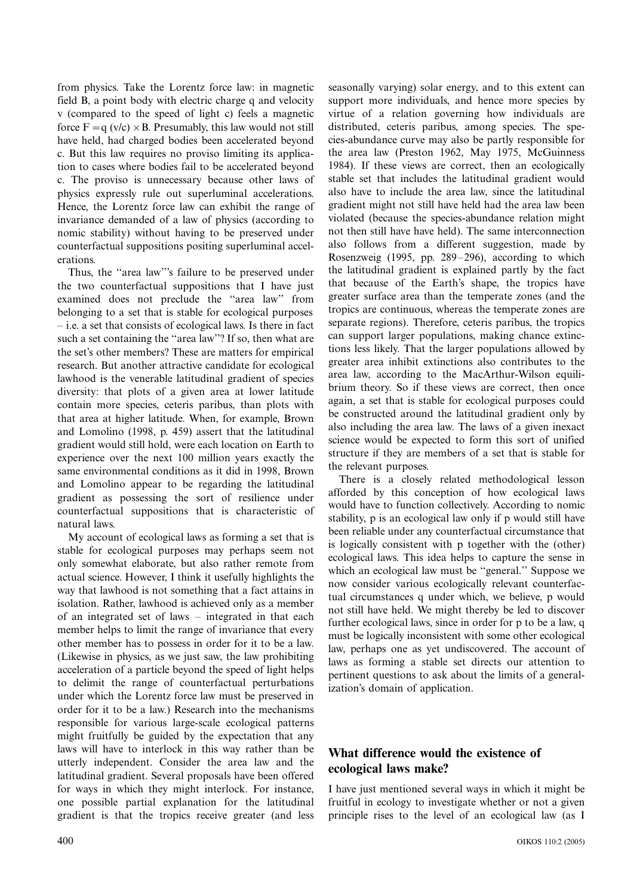from physics. Take the Lorentz force law: in magnetic field B, a point body with electric charge q and velocity v (compared to the speed of light c) feels a magnetic force  $F = q (v/c) \times B$ . Presumably, this law would not still have held, had charged bodies been accelerated beyond c. But this law requires no proviso limiting its application to cases where bodies fail to be accelerated beyond c. The proviso is unnecessary because other laws of physics expressly rule out superluminal accelerations. Hence, the Lorentz force law can exhibit the range of invariance demanded of a law of physics (according to nomic stability) without having to be preserved under counterfactual suppositions positing superluminal accelerations.

Thus, the ''area law'''s failure to be preserved under the two counterfactual suppositions that I have just examined does not preclude the ''area law'' from belonging to a set that is stable for ecological purposes / i.e. a set that consists of ecological laws. Is there in fact such a set containing the "area law"? If so, then what are the set's other members? These are matters for empirical research. But another attractive candidate for ecological lawhood is the venerable latitudinal gradient of species diversity: that plots of a given area at lower latitude contain more species, ceteris paribus, than plots with that area at higher latitude. When, for example, Brown and Lomolino (1998, p. 459) assert that the latitudinal gradient would still hold, were each location on Earth to experience over the next 100 million years exactly the same environmental conditions as it did in 1998, Brown and Lomolino appear to be regarding the latitudinal gradient as possessing the sort of resilience under counterfactual suppositions that is characteristic of natural laws.

My account of ecological laws as forming a set that is stable for ecological purposes may perhaps seem not only somewhat elaborate, but also rather remote from actual science. However, I think it usefully highlights the way that lawhood is not something that a fact attains in isolation. Rather, lawhood is achieved only as a member of an integrated set of laws  $-$  integrated in that each member helps to limit the range of invariance that every other member has to possess in order for it to be a law. (Likewise in physics, as we just saw, the law prohibiting acceleration of a particle beyond the speed of light helps to delimit the range of counterfactual perturbations under which the Lorentz force law must be preserved in order for it to be a law.) Research into the mechanisms responsible for various large-scale ecological patterns might fruitfully be guided by the expectation that any laws will have to interlock in this way rather than be utterly independent. Consider the area law and the latitudinal gradient. Several proposals have been offered for ways in which they might interlock. For instance, one possible partial explanation for the latitudinal gradient is that the tropics receive greater (and less seasonally varying) solar energy, and to this extent can support more individuals, and hence more species by virtue of a relation governing how individuals are distributed, ceteris paribus, among species. The species-abundance curve may also be partly responsible for the area law (Preston 1962, May 1975, McGuinness 1984). If these views are correct, then an ecologically stable set that includes the latitudinal gradient would also have to include the area law, since the latitudinal gradient might not still have held had the area law been violated (because the species-abundance relation might not then still have have held). The same interconnection also follows from a different suggestion, made by Rosenzweig  $(1995, pp. 289-296)$ , according to which the latitudinal gradient is explained partly by the fact that because of the Earth's shape, the tropics have greater surface area than the temperate zones (and the tropics are continuous, whereas the temperate zones are separate regions). Therefore, ceteris paribus, the tropics can support larger populations, making chance extinctions less likely. That the larger populations allowed by greater area inhibit extinctions also contributes to the area law, according to the MacArthur-Wilson equilibrium theory. So if these views are correct, then once again, a set that is stable for ecological purposes could be constructed around the latitudinal gradient only by also including the area law. The laws of a given inexact science would be expected to form this sort of unified structure if they are members of a set that is stable for the relevant purposes.

There is a closely related methodological lesson afforded by this conception of how ecological laws would have to function collectively. According to nomic stability, p is an ecological law only if p would still have been reliable under any counterfactual circumstance that is logically consistent with p together with the (other) ecological laws. This idea helps to capture the sense in which an ecological law must be ''general.'' Suppose we now consider various ecologically relevant counterfactual circumstances q under which, we believe, p would not still have held. We might thereby be led to discover further ecological laws, since in order for p to be a law, q must be logically inconsistent with some other ecological law, perhaps one as yet undiscovered. The account of laws as forming a stable set directs our attention to pertinent questions to ask about the limits of a generalization's domain of application.

## What difference would the existence of ecological laws make?

I have just mentioned several ways in which it might be fruitful in ecology to investigate whether or not a given principle rises to the level of an ecological law (as I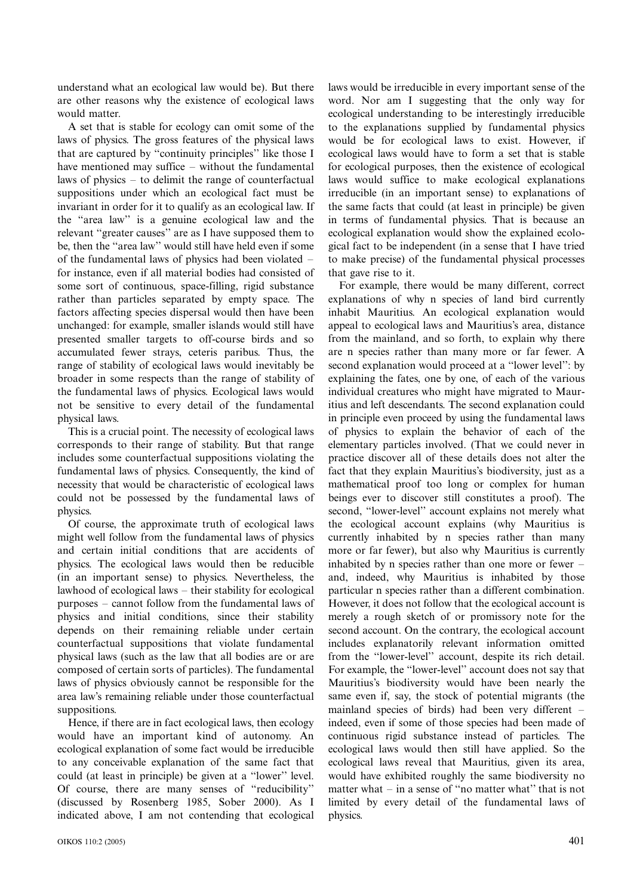understand what an ecological law would be). But there are other reasons why the existence of ecological laws would matter.

A set that is stable for ecology can omit some of the laws of physics. The gross features of the physical laws that are captured by ''continuity principles'' like those I have mentioned may suffice  $-$  without the fundamental laws of physics  $-$  to delimit the range of counterfactual suppositions under which an ecological fact must be invariant in order for it to qualify as an ecological law. If the ''area law'' is a genuine ecological law and the relevant ''greater causes'' are as I have supposed them to be, then the ''area law'' would still have held even if some of the fundamental laws of physics had been violated  $$ for instance, even if all material bodies had consisted of some sort of continuous, space-filling, rigid substance rather than particles separated by empty space. The factors affecting species dispersal would then have been unchanged: for example, smaller islands would still have presented smaller targets to off-course birds and so accumulated fewer strays, ceteris paribus. Thus, the range of stability of ecological laws would inevitably be broader in some respects than the range of stability of the fundamental laws of physics. Ecological laws would not be sensitive to every detail of the fundamental physical laws.

This is a crucial point. The necessity of ecological laws corresponds to their range of stability. But that range includes some counterfactual suppositions violating the fundamental laws of physics. Consequently, the kind of necessity that would be characteristic of ecological laws could not be possessed by the fundamental laws of physics.

Of course, the approximate truth of ecological laws might well follow from the fundamental laws of physics and certain initial conditions that are accidents of physics. The ecological laws would then be reducible (in an important sense) to physics. Nevertheless, the lawhood of ecological laws  $-$  their stability for ecological purposes – cannot follow from the fundamental laws of physics and initial conditions, since their stability depends on their remaining reliable under certain counterfactual suppositions that violate fundamental physical laws (such as the law that all bodies are or are composed of certain sorts of particles). The fundamental laws of physics obviously cannot be responsible for the area law's remaining reliable under those counterfactual suppositions.

Hence, if there are in fact ecological laws, then ecology would have an important kind of autonomy. An ecological explanation of some fact would be irreducible to any conceivable explanation of the same fact that could (at least in principle) be given at a ''lower'' level. Of course, there are many senses of ''reducibility'' (discussed by Rosenberg 1985, Sober 2000). As I indicated above, I am not contending that ecological laws would be irreducible in every important sense of the word. Nor am I suggesting that the only way for ecological understanding to be interestingly irreducible to the explanations supplied by fundamental physics would be for ecological laws to exist. However, if ecological laws would have to form a set that is stable for ecological purposes, then the existence of ecological laws would suffice to make ecological explanations irreducible (in an important sense) to explanations of the same facts that could (at least in principle) be given in terms of fundamental physics. That is because an ecological explanation would show the explained ecological fact to be independent (in a sense that I have tried to make precise) of the fundamental physical processes that gave rise to it.

For example, there would be many different, correct explanations of why n species of land bird currently inhabit Mauritius. An ecological explanation would appeal to ecological laws and Mauritius's area, distance from the mainland, and so forth, to explain why there are n species rather than many more or far fewer. A second explanation would proceed at a ''lower level'': by explaining the fates, one by one, of each of the various individual creatures who might have migrated to Mauritius and left descendants. The second explanation could in principle even proceed by using the fundamental laws of physics to explain the behavior of each of the elementary particles involved. (That we could never in practice discover all of these details does not alter the fact that they explain Mauritius's biodiversity, just as a mathematical proof too long or complex for human beings ever to discover still constitutes a proof). The second, ''lower-level'' account explains not merely what the ecological account explains (why Mauritius is currently inhabited by n species rather than many more or far fewer), but also why Mauritius is currently inhabited by n species rather than one more or fewer  $$ and, indeed, why Mauritius is inhabited by those particular n species rather than a different combination. However, it does not follow that the ecological account is merely a rough sketch of or promissory note for the second account. On the contrary, the ecological account includes explanatorily relevant information omitted from the ''lower-level'' account, despite its rich detail. For example, the ''lower-level'' account does not say that Mauritius's biodiversity would have been nearly the same even if, say, the stock of potential migrants (the mainland species of birds) had been very different  $$ indeed, even if some of those species had been made of continuous rigid substance instead of particles. The ecological laws would then still have applied. So the ecological laws reveal that Mauritius, given its area, would have exhibited roughly the same biodiversity no matter what  $-$  in a sense of "no matter what" that is not limited by every detail of the fundamental laws of physics.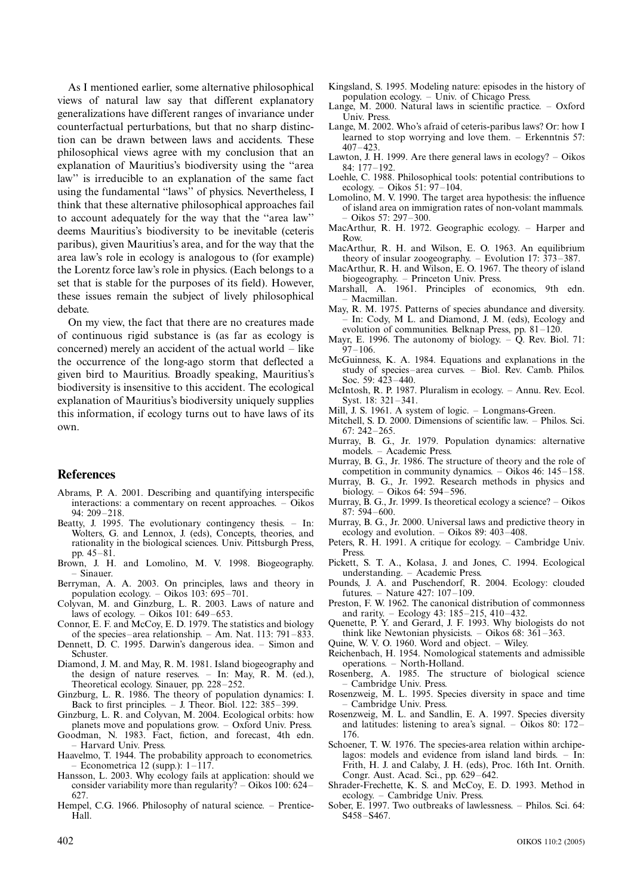As I mentioned earlier, some alternative philosophical views of natural law say that different explanatory generalizations have different ranges of invariance under counterfactual perturbations, but that no sharp distinction can be drawn between laws and accidents. These philosophical views agree with my conclusion that an explanation of Mauritius's biodiversity using the ''area law'' is irreducible to an explanation of the same fact using the fundamental ''laws'' of physics. Nevertheless, I think that these alternative philosophical approaches fail to account adequately for the way that the ''area law'' deems Mauritius's biodiversity to be inevitable (ceteris paribus), given Mauritius's area, and for the way that the area law's role in ecology is analogous to (for example) the Lorentz force law's role in physics. (Each belongs to a set that is stable for the purposes of its field). However, these issues remain the subject of lively philosophical debate.

On my view, the fact that there are no creatures made of continuous rigid substance is (as far as ecology is concerned) merely an accident of the actual world  $-$  like the occurrence of the long-ago storm that deflected a given bird to Mauritius. Broadly speaking, Mauritius's biodiversity is insensitive to this accident. The ecological explanation of Mauritius's biodiversity uniquely supplies this information, if ecology turns out to have laws of its own.

#### **References**

- Abrams, P. A. 2001. Describing and quantifying interspecific interactions: a commentary on recent approaches.  $-$  Oikos 94: 209-218.
- Beatty, J. 1995. The evolutionary contingency thesis.  $-$  In: Wolters, G. and Lennox, J. (eds), Concepts, theories, and rationality in the biological sciences. Univ. Pittsburgh Press, pp. 45-81.
- Brown, J. H. and Lomolino, M. V. 1998. Biogeography. - Sinauer.
- Berryman, A. A. 2003. On principles, laws and theory in population ecology. – Oikos  $103: 695-701$ .
- Colyvan, M. and Ginzburg, L. R. 2003. Laws of nature and laws of ecology.  $-$  Oikos 101: 649–653.
- Connor, E. F. and McCoy, E. D. 1979. The statistics and biology of the species-area relationship. - Am. Nat. 113: 791-833.
- Dennett, D. C. 1995. Darwin's dangerous idea. Simon and Schuster.
- Diamond, J. M. and May, R. M. 1981. Island biogeography and the design of nature reserves.  $-$  In: May, R. M. (ed.), Theoretical ecology. Sinauer, pp. 228-252.
- Ginzburg, L. R. 1986. The theory of population dynamics: I. Back to first principles.  $-$  J. Theor. Biol. 122:  $385-399$ .
- Ginzburg, L. R. and Colyvan, M. 2004. Ecological orbits: how planets move and populations grow.  $-$  Oxford Univ. Press.
- Goodman, N. 1983. Fact, fiction, and forecast, 4th edn. - Harvard Univ. Press.
- Haavelmo, T. 1944. The probability approach to econometrics. - Econometrica 12 (supp.):  $1-117$ .
- Hansson, L. 2003. Why ecology fails at application: should we consider variability more than regularity? - Oikos 100: 624-627.
- Hempel, C.G. 1966. Philosophy of natural science. Prentice-Hall.
- Kingsland, S. 1995. Modeling nature: episodes in the history of population ecology. - Univ. of Chicago Press.
- Lange, M.  $2000$ . Natural laws in scientific practice.  $-$  Oxford Univ. Press.
- Lange, M. 2002. Who's afraid of ceteris-paribus laws? Or: how I learned to stop worrying and love them.  $-$  Erkenntnis 57:  $407 - 423$
- Lawton, J. H. 1999. Are there general laws in ecology?  $-$  Oikos 84: 177-192.
- Loehle, C. 1988. Philosophical tools: potential contributions to ecology. – Oikos 51:  $97-104$ .
- Lomolino, M. V. 1990. The target area hypothesis: the influence of island area on immigration rates of non-volant mammals.  $-$  Oikos 57: 297 $-300$ .
- MacArthur, R. H. 1972. Geographic ecology. Harper and Row.
- MacArthur, R. H. and Wilson, E. O. 1963. An equilibrium theory of insular zoogeography. – Evolution 17:  $373-387$ .
- MacArthur, R. H. and Wilson, E. O. 1967. The theory of island biogeography. - Princeton Univ. Press.
- Marshall, A. 1961. Principles of economics, 9th edn. - Macmillan.
- May, R. M. 1975. Patterns of species abundance and diversity. - In: Cody, M L. and Diamond, J. M. (eds), Ecology and evolution of communities. Belknap Press, pp.  $81-120$ .
- Mayr, E. 1996. The autonomy of biology.  $-\hat{Q}$ . Rev. Biol. 71:  $97-106.$
- McGuinness, K. A. 1984. Equations and explanations in the study of species-area curves. - Biol. Rev. Camb. Philos. Soc. 59:  $423-440$ .
- McIntosh, R. P. 1987. Pluralism in ecology. Annu. Rev. Ecol. Syst. 18: 321-341.
- Mill, J. S. 1961. A system of logic. Longmans-Green.
- Mitchell, S. D. 2000. Dimensions of scientific law. Philos. Sci.
- 67:  $242 265$ . Murray, B. G., Jr. 1979. Population dynamics: alternative models. - Academic Press.
- Murray, B. G., Jr. 1986. The structure of theory and the role of competition in community dynamics.  $-$  Oikos 46: 145–158.
- Murray, B. G., Jr. 1992. Research methods in physics and biology. - Oikos 64: 594-596.
- Murray,  $\overline{B}$ , G., Jr. 1999. Is theoretical ecology a science? Oikos 87: 594-600.
- Murray, B. G., Jr. 2000. Universal laws and predictive theory in ecology and evolution.  $-$  Oikos 89: 403-408.
- Peters, R. H. 1991. A critique for ecology.  $-$  Cambridge Univ. Press.
- Pickett, S. T. A., Kolasa, J. and Jones, C. 1994. Ecological understanding. - Academic Press.
- Pounds, J. A. and Puschendorf, R. 2004. Ecology: clouded futures. - Nature 427:  $107-109$ .
- Preston, F. W. 1962. The canonical distribution of commonness and rarity. – Ecology 43:  $185-215$ , 410-432.
- Quenette, P. Y. and Gerard, J. F. 1993. Why biologists do not think like Newtonian physicists. - Oikos 68:  $361-363$ .
- Quine, W. V. O. 1960. Word and object.  $-$  Wiley.
- Reichenbach, H. 1954. Nomological statements and admissible operations. - North-Holland.
- Rosenberg, A. 1985. The structure of biological science - Cambridge Univ. Press.
- Rosenzweig, M. L. 1995. Species diversity in space and time - Cambridge Univ. Press.
- Rosenzweig, M. L. and Sandlin, E. A. 1997. Species diversity and latitudes: listening to area's signal.  $-$  Oikos 80: 172– 176.
- Schoener, T. W. 1976. The species-area relation within archipelagos: models and evidence from island land birds.  $-$  In: Frith, H. J. and Calaby, J. H. (eds), Proc. 16th Int. Ornith. Congr. Aust. Acad. Sci., pp. 629-642.
- Shrader-Frechette, K. S. and McCoy, E. D. 1993. Method in ecology. - Cambridge Univ. Press.
- Sober, E. 1997. Two outbreaks of lawlessness. Philos. Sci. 64: S458-S467.